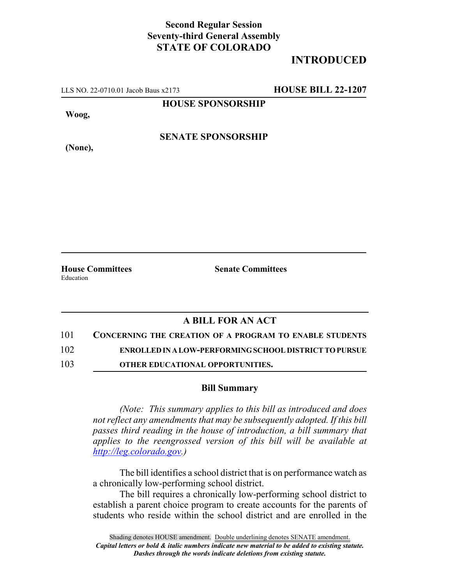## **Second Regular Session Seventy-third General Assembly STATE OF COLORADO**

## **INTRODUCED**

LLS NO. 22-0710.01 Jacob Baus x2173 **HOUSE BILL 22-1207**

**HOUSE SPONSORSHIP**

**Woog,**

**(None),**

**SENATE SPONSORSHIP**

**House Committees Senate Committees** Education

## **A BILL FOR AN ACT**

101 **CONCERNING THE CREATION OF A PROGRAM TO ENABLE STUDENTS**

102 **ENROLLED IN A LOW-PERFORMING SCHOOL DISTRICT TO PURSUE**

103 **OTHER EDUCATIONAL OPPORTUNITIES.**

## **Bill Summary**

*(Note: This summary applies to this bill as introduced and does not reflect any amendments that may be subsequently adopted. If this bill passes third reading in the house of introduction, a bill summary that applies to the reengrossed version of this bill will be available at http://leg.colorado.gov.)*

The bill identifies a school district that is on performance watch as a chronically low-performing school district.

The bill requires a chronically low-performing school district to establish a parent choice program to create accounts for the parents of students who reside within the school district and are enrolled in the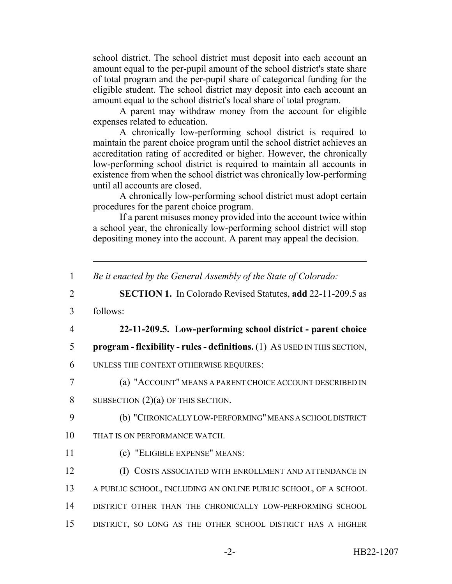school district. The school district must deposit into each account an amount equal to the per-pupil amount of the school district's state share of total program and the per-pupil share of categorical funding for the eligible student. The school district may deposit into each account an amount equal to the school district's local share of total program.

A parent may withdraw money from the account for eligible expenses related to education.

A chronically low-performing school district is required to maintain the parent choice program until the school district achieves an accreditation rating of accredited or higher. However, the chronically low-performing school district is required to maintain all accounts in existence from when the school district was chronically low-performing until all accounts are closed.

A chronically low-performing school district must adopt certain procedures for the parent choice program.

If a parent misuses money provided into the account twice within a school year, the chronically low-performing school district will stop depositing money into the account. A parent may appeal the decision.

| $\mathbf{1}$   | Be it enacted by the General Assembly of the State of Colorado:           |
|----------------|---------------------------------------------------------------------------|
| $\overline{2}$ | <b>SECTION 1.</b> In Colorado Revised Statutes, add 22-11-209.5 as        |
| 3              | follows:                                                                  |
| $\overline{4}$ | 22-11-209.5. Low-performing school district - parent choice               |
| 5              | program - flexibility - rules - definitions. (1) As USED IN THIS SECTION, |
| 6              | UNLESS THE CONTEXT OTHERWISE REQUIRES:                                    |
| 7              | (a) "ACCOUNT" MEANS A PARENT CHOICE ACCOUNT DESCRIBED IN                  |
| 8              | SUBSECTION $(2)(a)$ OF THIS SECTION.                                      |
| 9              | (b) "CHRONICALLY LOW-PERFORMING" MEANS A SCHOOL DISTRICT                  |
| 10             | THAT IS ON PERFORMANCE WATCH.                                             |
| 11             | (c) "ELIGIBLE EXPENSE" MEANS:                                             |
| 12             | (I) COSTS ASSOCIATED WITH ENROLLMENT AND ATTENDANCE IN                    |
| 13             | A PUBLIC SCHOOL, INCLUDING AN ONLINE PUBLIC SCHOOL, OF A SCHOOL           |
| 14             | DISTRICT OTHER THAN THE CHRONICALLY LOW-PERFORMING SCHOOL                 |
| 15             | DISTRICT, SO LONG AS THE OTHER SCHOOL DISTRICT HAS A HIGHER               |
|                |                                                                           |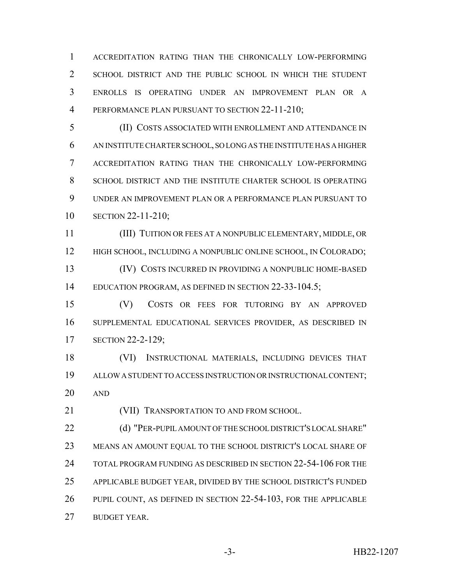ACCREDITATION RATING THAN THE CHRONICALLY LOW-PERFORMING SCHOOL DISTRICT AND THE PUBLIC SCHOOL IN WHICH THE STUDENT ENROLLS IS OPERATING UNDER AN IMPROVEMENT PLAN OR A 4 PERFORMANCE PLAN PURSUANT TO SECTION 22-11-210;

 (II) COSTS ASSOCIATED WITH ENROLLMENT AND ATTENDANCE IN AN INSTITUTE CHARTER SCHOOL, SO LONG AS THE INSTITUTE HAS A HIGHER ACCREDITATION RATING THAN THE CHRONICALLY LOW-PERFORMING 8 SCHOOL DISTRICT AND THE INSTITUTE CHARTER SCHOOL IS OPERATING UNDER AN IMPROVEMENT PLAN OR A PERFORMANCE PLAN PURSUANT TO SECTION 22-11-210;

 (III) TUITION OR FEES AT A NONPUBLIC ELEMENTARY, MIDDLE, OR 12 HIGH SCHOOL, INCLUDING A NONPUBLIC ONLINE SCHOOL, IN COLORADO; (IV) COSTS INCURRED IN PROVIDING A NONPUBLIC HOME-BASED 14 EDUCATION PROGRAM, AS DEFINED IN SECTION 22-33-104.5;

 (V) COSTS OR FEES FOR TUTORING BY AN APPROVED SUPPLEMENTAL EDUCATIONAL SERVICES PROVIDER, AS DESCRIBED IN SECTION 22-2-129;

 (VI) INSTRUCTIONAL MATERIALS, INCLUDING DEVICES THAT ALLOW A STUDENT TO ACCESS INSTRUCTION OR INSTRUCTIONAL CONTENT; AND

**(VII) TRANSPORTATION TO AND FROM SCHOOL.** 

**(d) "PER-PUPIL AMOUNT OF THE SCHOOL DISTRICT'S LOCAL SHARE"**  MEANS AN AMOUNT EQUAL TO THE SCHOOL DISTRICT'S LOCAL SHARE OF TOTAL PROGRAM FUNDING AS DESCRIBED IN SECTION 22-54-106 FOR THE APPLICABLE BUDGET YEAR, DIVIDED BY THE SCHOOL DISTRICT'S FUNDED PUPIL COUNT, AS DEFINED IN SECTION 22-54-103, FOR THE APPLICABLE BUDGET YEAR.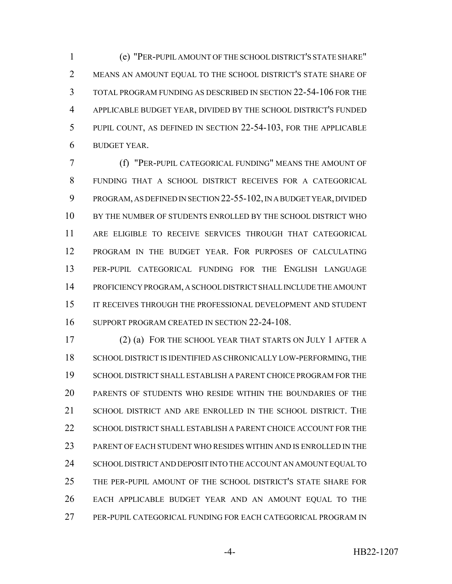(e) "PER-PUPIL AMOUNT OF THE SCHOOL DISTRICT'S STATE SHARE" MEANS AN AMOUNT EQUAL TO THE SCHOOL DISTRICT'S STATE SHARE OF TOTAL PROGRAM FUNDING AS DESCRIBED IN SECTION 22-54-106 FOR THE APPLICABLE BUDGET YEAR, DIVIDED BY THE SCHOOL DISTRICT'S FUNDED PUPIL COUNT, AS DEFINED IN SECTION 22-54-103, FOR THE APPLICABLE BUDGET YEAR.

 (f) "PER-PUPIL CATEGORICAL FUNDING" MEANS THE AMOUNT OF FUNDING THAT A SCHOOL DISTRICT RECEIVES FOR A CATEGORICAL PROGRAM, AS DEFINED IN SECTION 22-55-102, IN A BUDGET YEAR, DIVIDED 10 BY THE NUMBER OF STUDENTS ENROLLED BY THE SCHOOL DISTRICT WHO ARE ELIGIBLE TO RECEIVE SERVICES THROUGH THAT CATEGORICAL PROGRAM IN THE BUDGET YEAR. FOR PURPOSES OF CALCULATING PER-PUPIL CATEGORICAL FUNDING FOR THE ENGLISH LANGUAGE PROFICIENCY PROGRAM, A SCHOOL DISTRICT SHALL INCLUDE THE AMOUNT 15 IT RECEIVES THROUGH THE PROFESSIONAL DEVELOPMENT AND STUDENT SUPPORT PROGRAM CREATED IN SECTION 22-24-108.

 (2) (a) FOR THE SCHOOL YEAR THAT STARTS ON JULY 1 AFTER A SCHOOL DISTRICT IS IDENTIFIED AS CHRONICALLY LOW-PERFORMING, THE SCHOOL DISTRICT SHALL ESTABLISH A PARENT CHOICE PROGRAM FOR THE PARENTS OF STUDENTS WHO RESIDE WITHIN THE BOUNDARIES OF THE SCHOOL DISTRICT AND ARE ENROLLED IN THE SCHOOL DISTRICT. THE 22 SCHOOL DISTRICT SHALL ESTABLISH A PARENT CHOICE ACCOUNT FOR THE PARENT OF EACH STUDENT WHO RESIDES WITHIN AND IS ENROLLED IN THE 24 SCHOOL DISTRICT AND DEPOSIT INTO THE ACCOUNT AN AMOUNT EQUAL TO THE PER-PUPIL AMOUNT OF THE SCHOOL DISTRICT'S STATE SHARE FOR EACH APPLICABLE BUDGET YEAR AND AN AMOUNT EQUAL TO THE PER-PUPIL CATEGORICAL FUNDING FOR EACH CATEGORICAL PROGRAM IN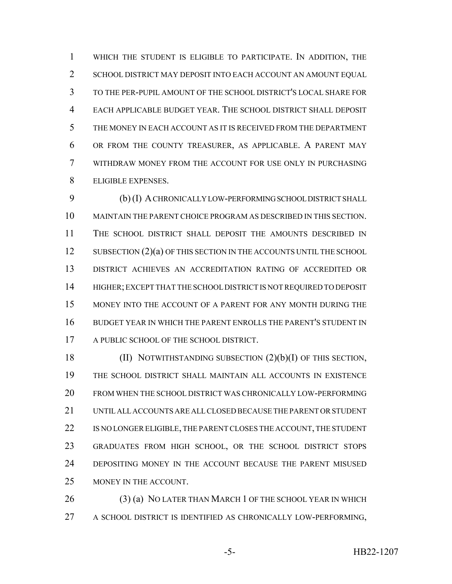WHICH THE STUDENT IS ELIGIBLE TO PARTICIPATE. IN ADDITION, THE SCHOOL DISTRICT MAY DEPOSIT INTO EACH ACCOUNT AN AMOUNT EQUAL TO THE PER-PUPIL AMOUNT OF THE SCHOOL DISTRICT'S LOCAL SHARE FOR EACH APPLICABLE BUDGET YEAR. THE SCHOOL DISTRICT SHALL DEPOSIT THE MONEY IN EACH ACCOUNT AS IT IS RECEIVED FROM THE DEPARTMENT OR FROM THE COUNTY TREASURER, AS APPLICABLE. A PARENT MAY WITHDRAW MONEY FROM THE ACCOUNT FOR USE ONLY IN PURCHASING ELIGIBLE EXPENSES.

 (b) (I) A CHRONICALLY LOW-PERFORMING SCHOOL DISTRICT SHALL MAINTAIN THE PARENT CHOICE PROGRAM AS DESCRIBED IN THIS SECTION. THE SCHOOL DISTRICT SHALL DEPOSIT THE AMOUNTS DESCRIBED IN 12 SUBSECTION (2)(a) OF THIS SECTION IN THE ACCOUNTS UNTIL THE SCHOOL DISTRICT ACHIEVES AN ACCREDITATION RATING OF ACCREDITED OR HIGHER; EXCEPT THAT THE SCHOOL DISTRICT IS NOT REQUIRED TO DEPOSIT MONEY INTO THE ACCOUNT OF A PARENT FOR ANY MONTH DURING THE BUDGET YEAR IN WHICH THE PARENT ENROLLS THE PARENT'S STUDENT IN A PUBLIC SCHOOL OF THE SCHOOL DISTRICT.

 (II) NOTWITHSTANDING SUBSECTION (2)(b)(I) OF THIS SECTION, THE SCHOOL DISTRICT SHALL MAINTAIN ALL ACCOUNTS IN EXISTENCE FROM WHEN THE SCHOOL DISTRICT WAS CHRONICALLY LOW-PERFORMING UNTIL ALL ACCOUNTS ARE ALL CLOSED BECAUSE THE PARENT OR STUDENT 22 IS NO LONGER ELIGIBLE, THE PARENT CLOSES THE ACCOUNT, THE STUDENT GRADUATES FROM HIGH SCHOOL, OR THE SCHOOL DISTRICT STOPS DEPOSITING MONEY IN THE ACCOUNT BECAUSE THE PARENT MISUSED MONEY IN THE ACCOUNT.

26 (3) (a) NO LATER THAN MARCH 1 OF THE SCHOOL YEAR IN WHICH A SCHOOL DISTRICT IS IDENTIFIED AS CHRONICALLY LOW-PERFORMING,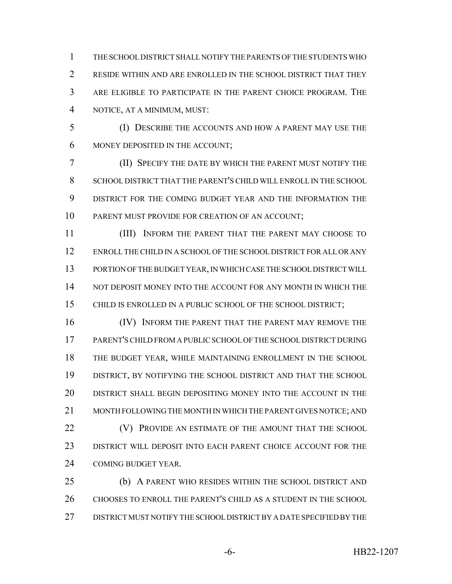THE SCHOOL DISTRICT SHALL NOTIFY THE PARENTS OF THE STUDENTS WHO RESIDE WITHIN AND ARE ENROLLED IN THE SCHOOL DISTRICT THAT THEY ARE ELIGIBLE TO PARTICIPATE IN THE PARENT CHOICE PROGRAM. THE NOTICE, AT A MINIMUM, MUST:

 (I) DESCRIBE THE ACCOUNTS AND HOW A PARENT MAY USE THE MONEY DEPOSITED IN THE ACCOUNT;

 (II) SPECIFY THE DATE BY WHICH THE PARENT MUST NOTIFY THE SCHOOL DISTRICT THAT THE PARENT'S CHILD WILL ENROLL IN THE SCHOOL DISTRICT FOR THE COMING BUDGET YEAR AND THE INFORMATION THE PARENT MUST PROVIDE FOR CREATION OF AN ACCOUNT;

 (III) INFORM THE PARENT THAT THE PARENT MAY CHOOSE TO ENROLL THE CHILD IN A SCHOOL OF THE SCHOOL DISTRICT FOR ALL OR ANY PORTION OF THE BUDGET YEAR, IN WHICH CASE THE SCHOOL DISTRICT WILL 14 NOT DEPOSIT MONEY INTO THE ACCOUNT FOR ANY MONTH IN WHICH THE CHILD IS ENROLLED IN A PUBLIC SCHOOL OF THE SCHOOL DISTRICT;

**IV)** INFORM THE PARENT THAT THE PARENT MAY REMOVE THE PARENT'S CHILD FROM A PUBLIC SCHOOL OF THE SCHOOL DISTRICT DURING THE BUDGET YEAR, WHILE MAINTAINING ENROLLMENT IN THE SCHOOL DISTRICT, BY NOTIFYING THE SCHOOL DISTRICT AND THAT THE SCHOOL DISTRICT SHALL BEGIN DEPOSITING MONEY INTO THE ACCOUNT IN THE MONTH FOLLOWING THE MONTH IN WHICH THE PARENT GIVES NOTICE; AND **(V) PROVIDE AN ESTIMATE OF THE AMOUNT THAT THE SCHOOL**  DISTRICT WILL DEPOSIT INTO EACH PARENT CHOICE ACCOUNT FOR THE COMING BUDGET YEAR.

 (b) A PARENT WHO RESIDES WITHIN THE SCHOOL DISTRICT AND CHOOSES TO ENROLL THE PARENT'S CHILD AS A STUDENT IN THE SCHOOL DISTRICT MUST NOTIFY THE SCHOOL DISTRICT BY A DATE SPECIFIED BY THE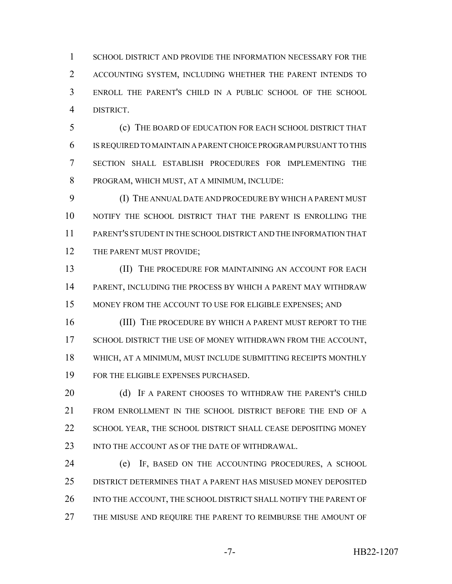SCHOOL DISTRICT AND PROVIDE THE INFORMATION NECESSARY FOR THE ACCOUNTING SYSTEM, INCLUDING WHETHER THE PARENT INTENDS TO ENROLL THE PARENT'S CHILD IN A PUBLIC SCHOOL OF THE SCHOOL DISTRICT.

 (c) THE BOARD OF EDUCATION FOR EACH SCHOOL DISTRICT THAT IS REQUIRED TO MAINTAIN A PARENT CHOICE PROGRAM PURSUANT TO THIS SECTION SHALL ESTABLISH PROCEDURES FOR IMPLEMENTING THE PROGRAM, WHICH MUST, AT A MINIMUM, INCLUDE:

 (I) THE ANNUAL DATE AND PROCEDURE BY WHICH A PARENT MUST NOTIFY THE SCHOOL DISTRICT THAT THE PARENT IS ENROLLING THE PARENT'S STUDENT IN THE SCHOOL DISTRICT AND THE INFORMATION THAT 12 THE PARENT MUST PROVIDE;

**(II)** THE PROCEDURE FOR MAINTAINING AN ACCOUNT FOR EACH PARENT, INCLUDING THE PROCESS BY WHICH A PARENT MAY WITHDRAW MONEY FROM THE ACCOUNT TO USE FOR ELIGIBLE EXPENSES; AND

16 (III) THE PROCEDURE BY WHICH A PARENT MUST REPORT TO THE 17 SCHOOL DISTRICT THE USE OF MONEY WITHDRAWN FROM THE ACCOUNT, WHICH, AT A MINIMUM, MUST INCLUDE SUBMITTING RECEIPTS MONTHLY FOR THE ELIGIBLE EXPENSES PURCHASED.

20 (d) IF A PARENT CHOOSES TO WITHDRAW THE PARENT'S CHILD FROM ENROLLMENT IN THE SCHOOL DISTRICT BEFORE THE END OF A 22 SCHOOL YEAR, THE SCHOOL DISTRICT SHALL CEASE DEPOSITING MONEY 23 INTO THE ACCOUNT AS OF THE DATE OF WITHDRAWAL.

 (e) IF, BASED ON THE ACCOUNTING PROCEDURES, A SCHOOL DISTRICT DETERMINES THAT A PARENT HAS MISUSED MONEY DEPOSITED 26 INTO THE ACCOUNT, THE SCHOOL DISTRICT SHALL NOTIFY THE PARENT OF 27 THE MISUSE AND REQUIRE THE PARENT TO REIMBURSE THE AMOUNT OF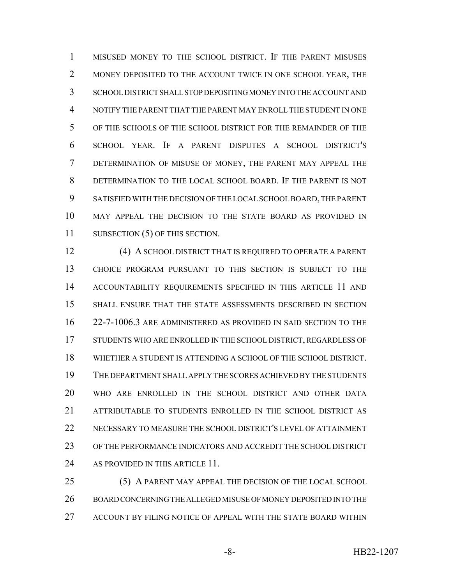MISUSED MONEY TO THE SCHOOL DISTRICT. IF THE PARENT MISUSES 2 MONEY DEPOSITED TO THE ACCOUNT TWICE IN ONE SCHOOL YEAR, THE SCHOOL DISTRICT SHALL STOP DEPOSITING MONEY INTO THE ACCOUNT AND NOTIFY THE PARENT THAT THE PARENT MAY ENROLL THE STUDENT IN ONE OF THE SCHOOLS OF THE SCHOOL DISTRICT FOR THE REMAINDER OF THE SCHOOL YEAR. IF A PARENT DISPUTES A SCHOOL DISTRICT'S DETERMINATION OF MISUSE OF MONEY, THE PARENT MAY APPEAL THE DETERMINATION TO THE LOCAL SCHOOL BOARD. IF THE PARENT IS NOT SATISFIED WITH THE DECISION OF THE LOCAL SCHOOL BOARD, THE PARENT MAY APPEAL THE DECISION TO THE STATE BOARD AS PROVIDED IN 11 SUBSECTION (5) OF THIS SECTION.

 (4) A SCHOOL DISTRICT THAT IS REQUIRED TO OPERATE A PARENT CHOICE PROGRAM PURSUANT TO THIS SECTION IS SUBJECT TO THE ACCOUNTABILITY REQUIREMENTS SPECIFIED IN THIS ARTICLE 11 AND SHALL ENSURE THAT THE STATE ASSESSMENTS DESCRIBED IN SECTION 22-7-1006.3 ARE ADMINISTERED AS PROVIDED IN SAID SECTION TO THE STUDENTS WHO ARE ENROLLED IN THE SCHOOL DISTRICT, REGARDLESS OF WHETHER A STUDENT IS ATTENDING A SCHOOL OF THE SCHOOL DISTRICT. THE DEPARTMENT SHALL APPLY THE SCORES ACHIEVED BY THE STUDENTS WHO ARE ENROLLED IN THE SCHOOL DISTRICT AND OTHER DATA ATTRIBUTABLE TO STUDENTS ENROLLED IN THE SCHOOL DISTRICT AS NECESSARY TO MEASURE THE SCHOOL DISTRICT'S LEVEL OF ATTAINMENT OF THE PERFORMANCE INDICATORS AND ACCREDIT THE SCHOOL DISTRICT 24 AS PROVIDED IN THIS ARTICLE 11.

 (5) A PARENT MAY APPEAL THE DECISION OF THE LOCAL SCHOOL BOARD CONCERNING THE ALLEGED MISUSE OF MONEY DEPOSITED INTO THE ACCOUNT BY FILING NOTICE OF APPEAL WITH THE STATE BOARD WITHIN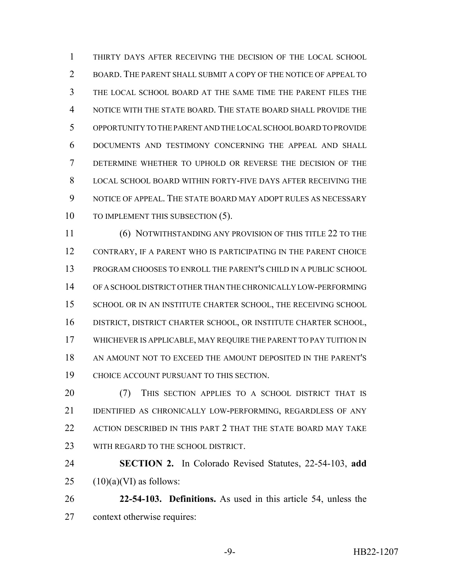THIRTY DAYS AFTER RECEIVING THE DECISION OF THE LOCAL SCHOOL BOARD. THE PARENT SHALL SUBMIT A COPY OF THE NOTICE OF APPEAL TO THE LOCAL SCHOOL BOARD AT THE SAME TIME THE PARENT FILES THE NOTICE WITH THE STATE BOARD. THE STATE BOARD SHALL PROVIDE THE OPPORTUNITY TO THE PARENT AND THE LOCAL SCHOOL BOARD TO PROVIDE DOCUMENTS AND TESTIMONY CONCERNING THE APPEAL AND SHALL DETERMINE WHETHER TO UPHOLD OR REVERSE THE DECISION OF THE LOCAL SCHOOL BOARD WITHIN FORTY-FIVE DAYS AFTER RECEIVING THE NOTICE OF APPEAL. THE STATE BOARD MAY ADOPT RULES AS NECESSARY 10 TO IMPLEMENT THIS SUBSECTION (5).

 (6) NOTWITHSTANDING ANY PROVISION OF THIS TITLE 22 TO THE CONTRARY, IF A PARENT WHO IS PARTICIPATING IN THE PARENT CHOICE PROGRAM CHOOSES TO ENROLL THE PARENT'S CHILD IN A PUBLIC SCHOOL OF A SCHOOL DISTRICT OTHER THAN THE CHRONICALLY LOW-PERFORMING 15 SCHOOL OR IN AN INSTITUTE CHARTER SCHOOL, THE RECEIVING SCHOOL DISTRICT, DISTRICT CHARTER SCHOOL, OR INSTITUTE CHARTER SCHOOL, WHICHEVER IS APPLICABLE, MAY REQUIRE THE PARENT TO PAY TUITION IN AN AMOUNT NOT TO EXCEED THE AMOUNT DEPOSITED IN THE PARENT'S CHOICE ACCOUNT PURSUANT TO THIS SECTION.

20 (7) THIS SECTION APPLIES TO A SCHOOL DISTRICT THAT IS IDENTIFIED AS CHRONICALLY LOW-PERFORMING, REGARDLESS OF ANY ACTION DESCRIBED IN THIS PART 2 THAT THE STATE BOARD MAY TAKE 23 WITH REGARD TO THE SCHOOL DISTRICT.

 **SECTION 2.** In Colorado Revised Statutes, 22-54-103, **add**  $25 \qquad (10)(a)(VI)$  as follows:

 **22-54-103. Definitions.** As used in this article 54, unless the context otherwise requires: